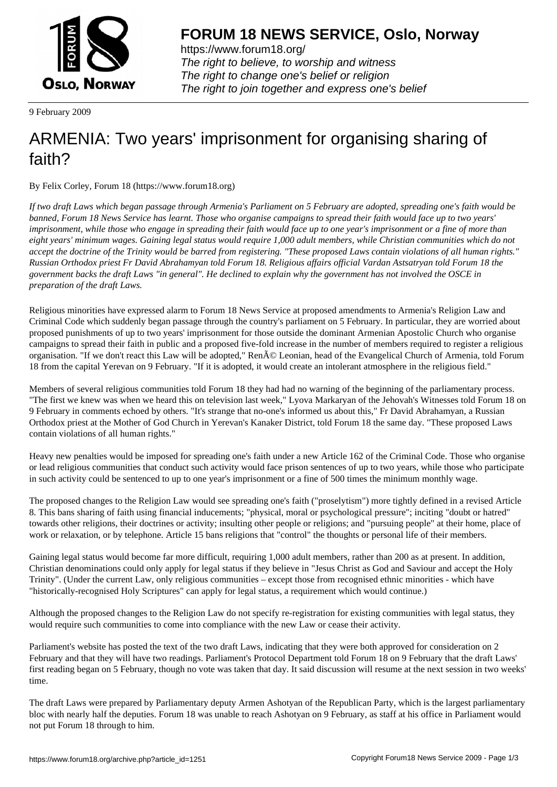

https://www.forum18.org/ The right to believe, to worship and witness The right to change one's belief or religion [The right to join together a](https://www.forum18.org/)nd express one's belief

9 February 2009

## [ARMENIA: Two](https://www.forum18.org) years' imprisonment for organising sharing of faith?

By Felix Corley, Forum 18 (https://www.forum18.org)

*If two draft Laws which began passage through Armenia's Parliament on 5 February are adopted, spreading one's faith would be banned, Forum 18 News Service has learnt. Those who organise campaigns to spread their faith would face up to two years' imprisonment, while those who engage in spreading their faith would face up to one year's imprisonment or a fine of more than eight years' minimum wages. Gaining legal status would require 1,000 adult members, while Christian communities which do not accept the doctrine of the Trinity would be barred from registering. "These proposed Laws contain violations of all human rights." Russian Orthodox priest Fr David Abrahamyan told Forum 18. Religious affairs official Vardan Astsatryan told Forum 18 the government backs the draft Laws "in general". He declined to explain why the government has not involved the OSCE in preparation of the draft Laws.*

Religious minorities have expressed alarm to Forum 18 News Service at proposed amendments to Armenia's Religion Law and Criminal Code which suddenly began passage through the country's parliament on 5 February. In particular, they are worried about proposed punishments of up to two years' imprisonment for those outside the dominant Armenian Apostolic Church who organise campaigns to spread their faith in public and a proposed five-fold increase in the number of members required to register a religious organisation. "If we don't react this Law will be adopted," Ren© Leonian, head of the Evangelical Church of Armenia, told Forum 18 from the capital Yerevan on 9 February. "If it is adopted, it would create an intolerant atmosphere in the religious field."

Members of several religious communities told Forum 18 they had had no warning of the beginning of the parliamentary process. "The first we knew was when we heard this on television last week," Lyova Markaryan of the Jehovah's Witnesses told Forum 18 on 9 February in comments echoed by others. "It's strange that no-one's informed us about this," Fr David Abrahamyan, a Russian Orthodox priest at the Mother of God Church in Yerevan's Kanaker District, told Forum 18 the same day. "These proposed Laws contain violations of all human rights."

Heavy new penalties would be imposed for spreading one's faith under a new Article 162 of the Criminal Code. Those who organise or lead religious communities that conduct such activity would face prison sentences of up to two years, while those who participate in such activity could be sentenced to up to one year's imprisonment or a fine of 500 times the minimum monthly wage.

The proposed changes to the Religion Law would see spreading one's faith ("proselytism") more tightly defined in a revised Article 8. This bans sharing of faith using financial inducements; "physical, moral or psychological pressure"; inciting "doubt or hatred" towards other religions, their doctrines or activity; insulting other people or religions; and "pursuing people" at their home, place of work or relaxation, or by telephone. Article 15 bans religions that "control" the thoughts or personal life of their members.

Gaining legal status would become far more difficult, requiring 1,000 adult members, rather than 200 as at present. In addition, Christian denominations could only apply for legal status if they believe in "Jesus Christ as God and Saviour and accept the Holy Trinity". (Under the current Law, only religious communities – except those from recognised ethnic minorities - which have "historically-recognised Holy Scriptures" can apply for legal status, a requirement which would continue.)

Although the proposed changes to the Religion Law do not specify re-registration for existing communities with legal status, they would require such communities to come into compliance with the new Law or cease their activity.

Parliament's website has posted the text of the two draft Laws, indicating that they were both approved for consideration on 2 February and that they will have two readings. Parliament's Protocol Department told Forum 18 on 9 February that the draft Laws' first reading began on 5 February, though no vote was taken that day. It said discussion will resume at the next session in two weeks' time.

The draft Laws were prepared by Parliamentary deputy Armen Ashotyan of the Republican Party, which is the largest parliamentary bloc with nearly half the deputies. Forum 18 was unable to reach Ashotyan on 9 February, as staff at his office in Parliament would not put Forum 18 through to him.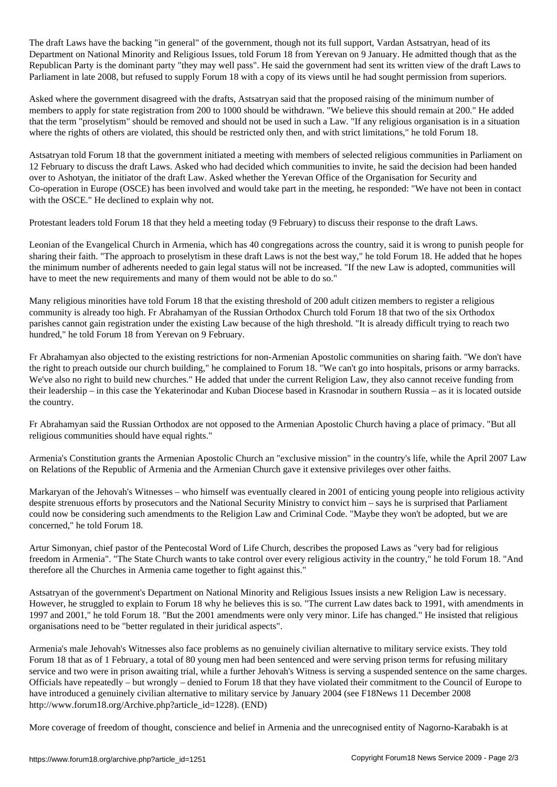The draft Laws have the backing "in general" of the government, though not its full support, Vardan Astsatryan, head of its Department on National Minority and Religious Issues, told Forum 18 from Yerevan on 9 January. He admitted though that as the Republican Party is the dominant party "they may well pass". He said the government had sent its written view of the draft Laws to Parliament in late 2008, but refused to supply Forum 18 with a copy of its views until he had sought permission from superiors.

Asked where the government disagreed with the drafts, Astsatryan said that the proposed raising of the minimum number of members to apply for state registration from 200 to 1000 should be withdrawn. "We believe this should remain at 200." He added that the term "proselytism" should be removed and should not be used in such a Law. "If any religious organisation is in a situation where the rights of others are violated, this should be restricted only then, and with strict limitations," he told Forum 18.

Astsatryan told Forum 18 that the government initiated a meeting with members of selected religious communities in Parliament on 12 February to discuss the draft Laws. Asked who had decided which communities to invite, he said the decision had been handed over to Ashotyan, the initiator of the draft Law. Asked whether the Yerevan Office of the Organisation for Security and Co-operation in Europe (OSCE) has been involved and would take part in the meeting, he responded: "We have not been in contact with the OSCE." He declined to explain why not.

Protestant leaders told Forum 18 that they held a meeting today (9 February) to discuss their response to the draft Laws.

Leonian of the Evangelical Church in Armenia, which has 40 congregations across the country, said it is wrong to punish people for sharing their faith. "The approach to proselytism in these draft Laws is not the best way," he told Forum 18. He added that he hopes the minimum number of adherents needed to gain legal status will not be increased. "If the new Law is adopted, communities will have to meet the new requirements and many of them would not be able to do so."

Many religious minorities have told Forum 18 that the existing threshold of 200 adult citizen members to register a religious community is already too high. Fr Abrahamyan of the Russian Orthodox Church told Forum 18 that two of the six Orthodox parishes cannot gain registration under the existing Law because of the high threshold. "It is already difficult trying to reach two hundred," he told Forum 18 from Yerevan on 9 February.

Fr Abrahamyan also objected to the existing restrictions for non-Armenian Apostolic communities on sharing faith. "We don't have the right to preach outside our church building," he complained to Forum 18. "We can't go into hospitals, prisons or army barracks. We've also no right to build new churches." He added that under the current Religion Law, they also cannot receive funding from their leadership – in this case the Yekaterinodar and Kuban Diocese based in Krasnodar in southern Russia – as it is located outside the country.

Fr Abrahamyan said the Russian Orthodox are not opposed to the Armenian Apostolic Church having a place of primacy. "But all religious communities should have equal rights."

Armenia's Constitution grants the Armenian Apostolic Church an "exclusive mission" in the country's life, while the April 2007 Law on Relations of the Republic of Armenia and the Armenian Church gave it extensive privileges over other faiths.

Markaryan of the Jehovah's Witnesses – who himself was eventually cleared in 2001 of enticing young people into religious activity despite strenuous efforts by prosecutors and the National Security Ministry to convict him – says he is surprised that Parliament could now be considering such amendments to the Religion Law and Criminal Code. "Maybe they won't be adopted, but we are concerned," he told Forum 18.

Artur Simonyan, chief pastor of the Pentecostal Word of Life Church, describes the proposed Laws as "very bad for religious freedom in Armenia". "The State Church wants to take control over every religious activity in the country," he told Forum 18. "And therefore all the Churches in Armenia came together to fight against this."

Astsatryan of the government's Department on National Minority and Religious Issues insists a new Religion Law is necessary. However, he struggled to explain to Forum 18 why he believes this is so. "The current Law dates back to 1991, with amendments in 1997 and 2001," he told Forum 18. "But the 2001 amendments were only very minor. Life has changed." He insisted that religious organisations need to be "better regulated in their juridical aspects".

Armenia's male Jehovah's Witnesses also face problems as no genuinely civilian alternative to military service exists. They told Forum 18 that as of 1 February, a total of 80 young men had been sentenced and were serving prison terms for refusing military service and two were in prison awaiting trial, while a further Jehovah's Witness is serving a suspended sentence on the same charges. Officials have repeatedly – but wrongly – denied to Forum 18 that they have violated their commitment to the Council of Europe to have introduced a genuinely civilian alternative to military service by January 2004 (see F18News 11 December 2008 http://www.forum18.org/Archive.php?article\_id=1228). (END)

More coverage of freedom of thought, conscience and belief in Armenia and the unrecognised entity of Nagorno-Karabakh is at